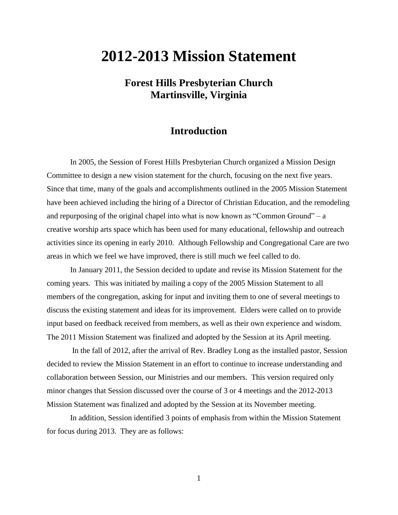# **2012-2013 Mission Statement**

## **Forest Hills Presbyterian Church Martinsville, Virginia**

## **Introduction**

In 2005, the Session of Forest Hills Presbyterian Church organized a Mission Design Committee to design a new vision statement for the church, focusing on the next five years. Since that time, many of the goals and accomplishments outlined in the 2005 Mission Statement have been achieved including the hiring of a Director of Christian Education, and the remodeling and repurposing of the original chapel into what is now known as "Common Ground" – a creative worship arts space which has been used for many educational, fellowship and outreach activities since its opening in early 2010. Although Fellowship and Congregational Care are two areas in which we feel we have improved, there is still much we feel called to do.

In January 2011, the Session decided to update and revise its Mission Statement for the coming years. This was initiated by mailing a copy of the 2005 Mission Statement to all members of the congregation, asking for input and inviting them to one of several meetings to discuss the existing statement and ideas for its improvement. Elders were called on to provide input based on feedback received from members, as well as their own experience and wisdom. The 2011 Mission Statement was finalized and adopted by the Session at its April meeting.

In the fall of 2012, after the arrival of Rev. Bradley Long as the installed pastor, Session decided to review the Mission Statement in an effort to continue to increase understanding and collaboration between Session, our Ministries and our members. This version required only minor changes that Session discussed over the course of 3 or 4 meetings and the 2012-2013 Mission Statement was finalized and adopted by the Session at its November meeting.

In addition, Session identified 3 points of emphasis from within the Mission Statement for focus during 2013. They are as follows:

1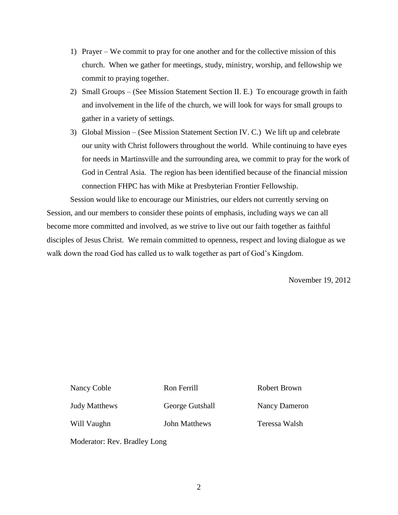- 1) Prayer We commit to pray for one another and for the collective mission of this church. When we gather for meetings, study, ministry, worship, and fellowship we commit to praying together.
- 2) Small Groups (See Mission Statement Section II. E.) To encourage growth in faith and involvement in the life of the church, we will look for ways for small groups to gather in a variety of settings.
- 3) Global Mission (See Mission Statement Section IV. C.) We lift up and celebrate our unity with Christ followers throughout the world. While continuing to have eyes for needs in Martinsville and the surrounding area, we commit to pray for the work of God in Central Asia. The region has been identified because of the financial mission connection FHPC has with Mike at Presbyterian Frontier Fellowship.

Session would like to encourage our Ministries, our elders not currently serving on Session, and our members to consider these points of emphasis, including ways we can all become more committed and involved, as we strive to live out our faith together as faithful disciples of Jesus Christ. We remain committed to openness, respect and loving dialogue as we walk down the road God has called us to walk together as part of God's Kingdom.

November 19, 2012

| Nancy Coble          | Ron Ferrill     | Robert Brown         |
|----------------------|-----------------|----------------------|
| <b>Judy Matthews</b> | George Gutshall | <b>Nancy Dameron</b> |
| Will Vaughn          | John Matthews   | Teressa Walsh        |

Moderator: Rev. Bradley Long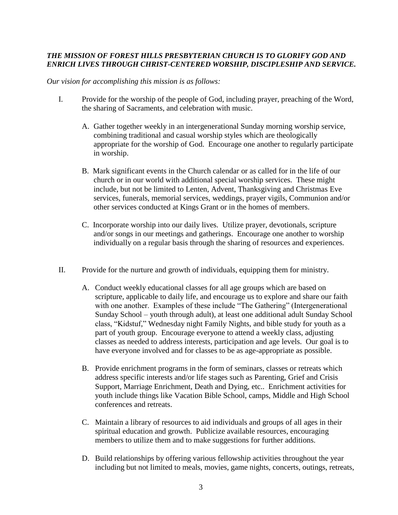### *THE MISSION OF FOREST HILLS PRESBYTERIAN CHURCH IS TO GLORIFY GOD AND ENRICH LIVES THROUGH CHRIST-CENTERED WORSHIP, DISCIPLESHIP AND SERVICE.*

#### *Our vision for accomplishing this mission is as follows:*

- I. Provide for the worship of the people of God, including prayer, preaching of the Word, the sharing of Sacraments, and celebration with music.
	- A. Gather together weekly in an intergenerational Sunday morning worship service, combining traditional and casual worship styles which are theologically appropriate for the worship of God. Encourage one another to regularly participate in worship.
	- B. Mark significant events in the Church calendar or as called for in the life of our church or in our world with additional special worship services. These might include, but not be limited to Lenten, Advent, Thanksgiving and Christmas Eve services, funerals, memorial services, weddings, prayer vigils, Communion and/or other services conducted at Kings Grant or in the homes of members.
	- C. Incorporate worship into our daily lives. Utilize prayer, devotionals, scripture and/or songs in our meetings and gatherings. Encourage one another to worship individually on a regular basis through the sharing of resources and experiences.
- II. Provide for the nurture and growth of individuals, equipping them for ministry.
	- A. Conduct weekly educational classes for all age groups which are based on scripture, applicable to daily life, and encourage us to explore and share our faith with one another. Examples of these include "The Gathering" (Intergenerational Sunday School – youth through adult), at least one additional adult Sunday School class, "Kidstuf," Wednesday night Family Nights, and bible study for youth as a part of youth group. Encourage everyone to attend a weekly class, adjusting classes as needed to address interests, participation and age levels. Our goal is to have everyone involved and for classes to be as age-appropriate as possible.
	- B. Provide enrichment programs in the form of seminars, classes or retreats which address specific interests and/or life stages such as Parenting, Grief and Crisis Support, Marriage Enrichment, Death and Dying, etc.. Enrichment activities for youth include things like Vacation Bible School, camps, Middle and High School conferences and retreats.
	- C. Maintain a library of resources to aid individuals and groups of all ages in their spiritual education and growth. Publicize available resources, encouraging members to utilize them and to make suggestions for further additions.
	- D. Build relationships by offering various fellowship activities throughout the year including but not limited to meals, movies, game nights, concerts, outings, retreats,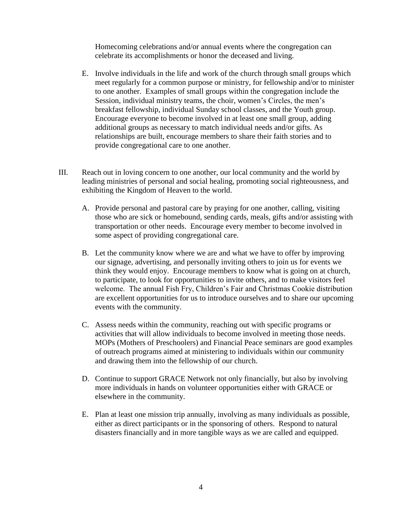Homecoming celebrations and/or annual events where the congregation can celebrate its accomplishments or honor the deceased and living.

- E. Involve individuals in the life and work of the church through small groups which meet regularly for a common purpose or ministry, for fellowship and/or to minister to one another. Examples of small groups within the congregation include the Session, individual ministry teams, the choir, women's Circles, the men's breakfast fellowship, individual Sunday school classes, and the Youth group. Encourage everyone to become involved in at least one small group, adding additional groups as necessary to match individual needs and/or gifts. As relationships are built, encourage members to share their faith stories and to provide congregational care to one another.
- III. Reach out in loving concern to one another, our local community and the world by leading ministries of personal and social healing, promoting social righteousness, and exhibiting the Kingdom of Heaven to the world.
	- A. Provide personal and pastoral care by praying for one another, calling, visiting those who are sick or homebound, sending cards, meals, gifts and/or assisting with transportation or other needs. Encourage every member to become involved in some aspect of providing congregational care.
	- B. Let the community know where we are and what we have to offer by improving our signage, advertising, and personally inviting others to join us for events we think they would enjoy. Encourage members to know what is going on at church, to participate, to look for opportunities to invite others, and to make visitors feel welcome. The annual Fish Fry, Children's Fair and Christmas Cookie distribution are excellent opportunities for us to introduce ourselves and to share our upcoming events with the community.
	- C. Assess needs within the community, reaching out with specific programs or activities that will allow individuals to become involved in meeting those needs. MOPs (Mothers of Preschoolers) and Financial Peace seminars are good examples of outreach programs aimed at ministering to individuals within our community and drawing them into the fellowship of our church.
	- D. Continue to support GRACE Network not only financially, but also by involving more individuals in hands on volunteer opportunities either with GRACE or elsewhere in the community.
	- E. Plan at least one mission trip annually, involving as many individuals as possible, either as direct participants or in the sponsoring of others. Respond to natural disasters financially and in more tangible ways as we are called and equipped.